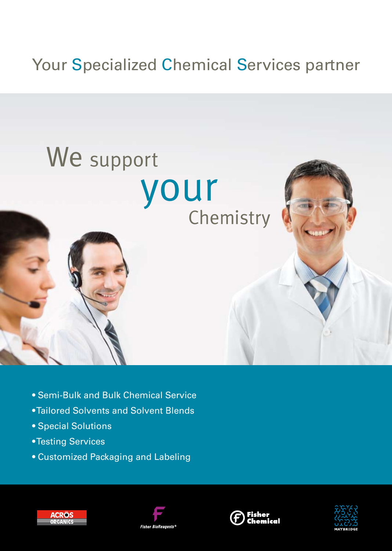# Your Specialized Chemical Services partner

# We support your Chemistry

- Semi-Bulk and Bulk Chemical Service
- Tailored Solvents and Solvent Blends
- Special Solutions
- Testing Services
- Customized Packaging and Labeling







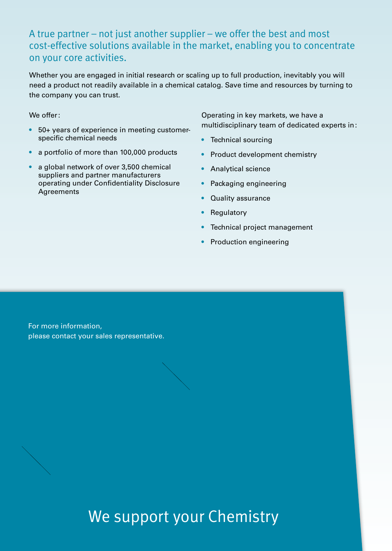### A true partner – not just another supplier – we offer the best and most cost-effective solutions available in the market, enabling you to concentrate on your core activities.

Whether you are engaged in initial research or scaling up to full production, inevitably you will need a product not readily available in a chemical catalog. Save time and resources by turning to the company you can trust.

We offer:

- 50+ years of experience in meeting customerspecific chemical needs
- a portfolio of more than 100,000 products
- a global network of over 3,500 chemical suppliers and partner manufacturers operating under Confidentiality Disclosure Agreements

Operating in key markets, we have a multidisciplinary team of dedicated experts in:

- Technical sourcing
- Product development chemistry
- Analytical science
- Packaging engineering
- Quality assurance
- Regulatory
- Technical project management
- Production engineering

For more information, please contact your sales representative.

We support your Chemistry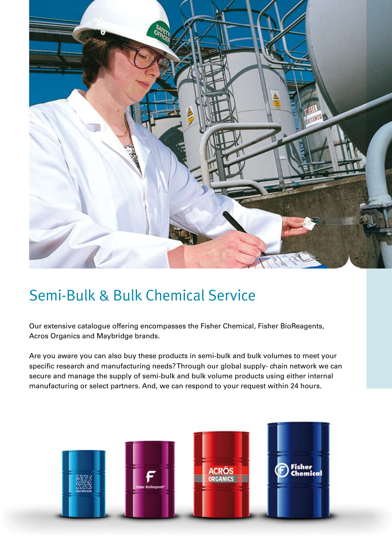

## Semi-Bulk & Bulk Chemical Service

Our extensive catalogue offering encompasses the Fisher Chemical, Fisher BioReagents, Acros Organics and Maybridge brands.

Are you aware you can also buy these products in semi-bulk and bulk volumes to meet your specific research and manufacturing needs? Through our global supply- chain network we can secure and manage the supply of semi-bulk and bulk volume products using either internal manufacturing or select partners. And, we can respond to your request within 24 hours.

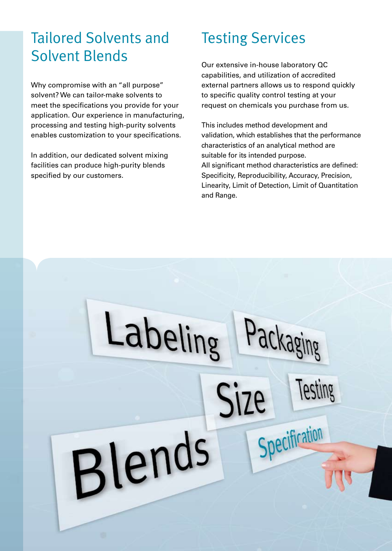## Tailored Solvents and Solvent Blends

Why compromise with an "all purpose" solvent? We can tailor-make solvents to meet the specifications you provide for your application. Our experience in manufacturing, processing and testing high-purity solvents enables customization to your specifications.

In addition, our dedicated solvent mixing facilities can produce high-purity blends specified by our customers.

Labeling

Blends

## Testing Services

Our extensive in-house laboratory QC capabilities, and utilization of accredited external partners allows us to respond quickly to specific quality control testing at your request on chemicals you purchase from us.

This includes method development and validation, which establishes that the performance characteristics of an analytical method are suitable for its intended purpose. All significant method characteristics are defined: Specificity, Reproducibility, Accuracy, Precision, Linearity, Limit of Detection, Limit of Quantitation and Range.

ackaging

Specification

Testing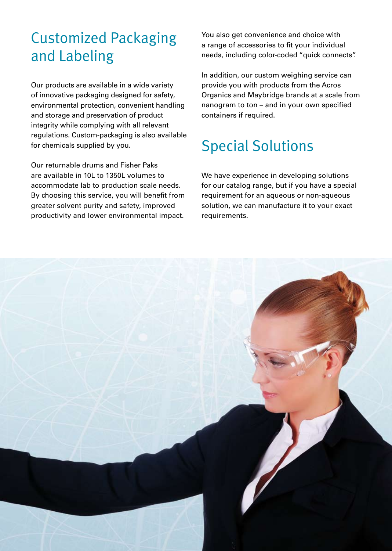## Customized Packaging and Labeling

Our products are available in a wide variety of innovative packaging designed for safety, environmental protection, convenient handling and storage and preservation of product integrity while complying with all relevant regulations. Custom-packaging is also available for chemicals supplied by you.

Our returnable drums and Fisher Paks are available in 10L to 1350L volumes to accommodate lab to production scale needs. By choosing this service, you will benefit from greater solvent purity and safety, improved productivity and lower environmental impact.

You also get convenience and choice with a range of accessories to fit your individual needs, including color-coded "quick connects".

In addition, our custom weighing service can provide you with products from the Acros Organics and Maybridge brands at a scale from nanogram to ton – and in your own specified containers if required.

## Special Solutions

We have experience in developing solutions for our catalog range, but if you have a special requirement for an aqueous or non-aqueous solution, we can manufacture it to your exact requirements.

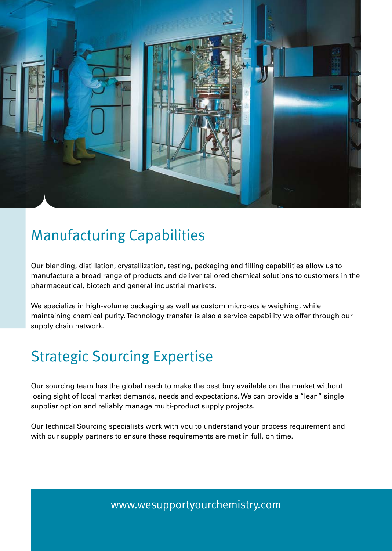

## Manufacturing Capabilities

Our blending, distillation, crystallization, testing, packaging and filling capabilities allow us to manufacture a broad range of products and deliver tailored chemical solutions to customers in the pharmaceutical, biotech and general industrial markets.

We specialize in high-volume packaging as well as custom micro-scale weighing, while maintaining chemical purity. Technology transfer is also a service capability we offer through our supply chain network.

## Strategic Sourcing Expertise

Our sourcing team has the global reach to make the best buy available on the market without losing sight of local market demands, needs and expectations. We can provide a "lean" single supplier option and reliably manage multi-product supply projects.

Our Technical Sourcing specialists work with you to understand your process requirement and with our supply partners to ensure these requirements are met in full, on time.

www.wesupportyourchemistry.com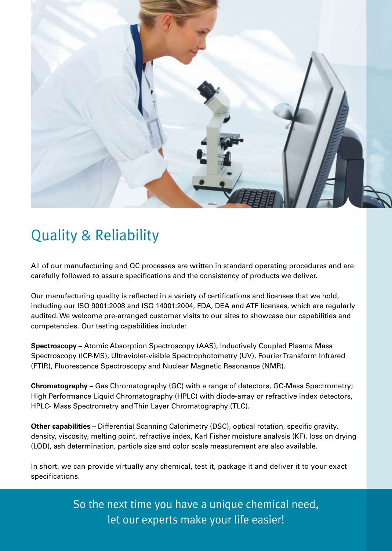

## Quality & Reliability

All of our manufacturing and QC processes are written in standard operating procedures and are carefully followed to assure specifications and the consistency of products we deliver.

Our manufacturing quality is reflected in a variety of certifications and licenses that we hold, including our ISO 9001:2008 and ISO 14001:2004, FDA, DEA and ATF licenses, which are regularly audited. We welcome pre-arranged customer visits to our sites to showcase our capabilities and competencies. Our testing capabilities include:

**Spectroscopy –** Atomic Absorption Spectroscopy (AAS), Inductively Coupled Plasma Mass Spectroscopy (ICP-MS), Ultraviolet-visible Spectrophotometry (UV), Fourier Transform Infrared (FTIR), Fluorescence Spectroscopy and Nuclear Magnetic Resonance (NMR).

**Chromatography –** Gas Chromatography (GC) with a range of detectors, GC-Mass Spectrometry; High Performance Liquid Chromatography (HPLC) with diode-array or refractive index detectors, HPLC- Mass Spectrometry and Thin Layer Chromatography (TLC).

**Other capabilities –** Differential Scanning Calorimetry (DSC), optical rotation, specific gravity, density, viscosity, melting point, refractive index, Karl Fisher moisture analysis (KF), loss on drying (LOD), ash determination, particle size and color scale measurement are also available.

In short, we can provide virtually any chemical, test it, package it and deliver it to your exact specifications.

> So the next time you have a unique chemical need, let our experts make your life easier!